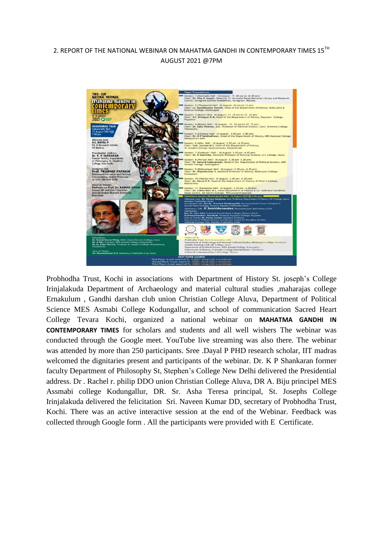## 2. REPORT OF THE NATIONAL WEBINAR ON MAHATMA GANDHI IN CONTEMPORARY TIMES 15<sup>TH</sup> AUGUST 2021 @7PM



Probhodha Trust, Kochi in associations with Department of History St. joseph's College Irinjalakuda Department of Archaeology and material cultural studies ,maharajas college Ernakulum , Gandhi darshan club union Christian College Aluva, Department of Political Science MES Asmabi College Kodungallur, and school of communication Sacred Heart College Tevara Kochi, organized a national webinar on **MAHATMA GANDHI IN CONTEMPORARY TIMES** for scholars and students and all well wishers The webinar was conducted through the Google meet. YouTube live streaming was also there. The webinar was attended by more than 250 participants. Sree .Dayal P PHD research scholar, IIT madras welcomed the dignitaries present and participants of the webinar. Dr. K P Shankaran former faculty Department of Philosophy St, Stephen's College New Delhi delivered the Presidential address. Dr . Rachel r. philip DDO union Christian College Aluva, DR A. Biju principel MES Assmabi college Kodungallur, DR. Sr. Asha Teresa principal, St. Josephs College Irinjalakuda delivered the felicitation Sri. Naveen Kumar DD, secretary of Probhodha Trust, Kochi. There was an active interactive session at the end of the Webinar. Feedback was collected through Google form . All the participants were provided with E Certificate.